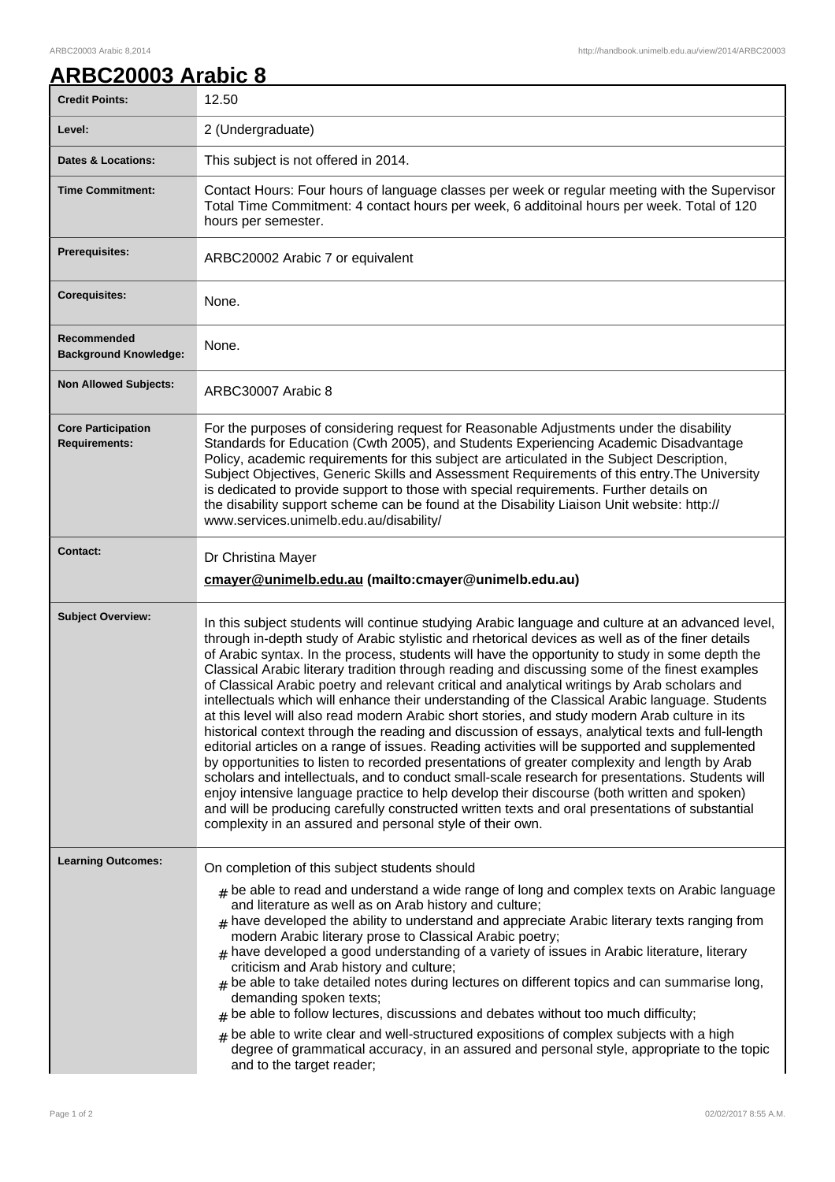## **ARBC20003 Arabic 8**

| <b>Credit Points:</b>                             | 12.50                                                                                                                                                                                                                                                                                                                                                                                                                                                                                                                                                                                                                                                                                                                                                                                                                                                                                                                                                                                                                                                                                                                                                                                                                                                                                                                                                                                        |
|---------------------------------------------------|----------------------------------------------------------------------------------------------------------------------------------------------------------------------------------------------------------------------------------------------------------------------------------------------------------------------------------------------------------------------------------------------------------------------------------------------------------------------------------------------------------------------------------------------------------------------------------------------------------------------------------------------------------------------------------------------------------------------------------------------------------------------------------------------------------------------------------------------------------------------------------------------------------------------------------------------------------------------------------------------------------------------------------------------------------------------------------------------------------------------------------------------------------------------------------------------------------------------------------------------------------------------------------------------------------------------------------------------------------------------------------------------|
| Level:                                            | 2 (Undergraduate)                                                                                                                                                                                                                                                                                                                                                                                                                                                                                                                                                                                                                                                                                                                                                                                                                                                                                                                                                                                                                                                                                                                                                                                                                                                                                                                                                                            |
| <b>Dates &amp; Locations:</b>                     | This subject is not offered in 2014.                                                                                                                                                                                                                                                                                                                                                                                                                                                                                                                                                                                                                                                                                                                                                                                                                                                                                                                                                                                                                                                                                                                                                                                                                                                                                                                                                         |
| <b>Time Commitment:</b>                           | Contact Hours: Four hours of language classes per week or regular meeting with the Supervisor<br>Total Time Commitment: 4 contact hours per week, 6 additoinal hours per week. Total of 120<br>hours per semester.                                                                                                                                                                                                                                                                                                                                                                                                                                                                                                                                                                                                                                                                                                                                                                                                                                                                                                                                                                                                                                                                                                                                                                           |
| Prerequisites:                                    | ARBC20002 Arabic 7 or equivalent                                                                                                                                                                                                                                                                                                                                                                                                                                                                                                                                                                                                                                                                                                                                                                                                                                                                                                                                                                                                                                                                                                                                                                                                                                                                                                                                                             |
| <b>Corequisites:</b>                              | None.                                                                                                                                                                                                                                                                                                                                                                                                                                                                                                                                                                                                                                                                                                                                                                                                                                                                                                                                                                                                                                                                                                                                                                                                                                                                                                                                                                                        |
| Recommended<br><b>Background Knowledge:</b>       | None.                                                                                                                                                                                                                                                                                                                                                                                                                                                                                                                                                                                                                                                                                                                                                                                                                                                                                                                                                                                                                                                                                                                                                                                                                                                                                                                                                                                        |
| <b>Non Allowed Subjects:</b>                      | ARBC30007 Arabic 8                                                                                                                                                                                                                                                                                                                                                                                                                                                                                                                                                                                                                                                                                                                                                                                                                                                                                                                                                                                                                                                                                                                                                                                                                                                                                                                                                                           |
| <b>Core Participation</b><br><b>Requirements:</b> | For the purposes of considering request for Reasonable Adjustments under the disability<br>Standards for Education (Cwth 2005), and Students Experiencing Academic Disadvantage<br>Policy, academic requirements for this subject are articulated in the Subject Description,<br>Subject Objectives, Generic Skills and Assessment Requirements of this entry. The University<br>is dedicated to provide support to those with special requirements. Further details on<br>the disability support scheme can be found at the Disability Liaison Unit website: http://<br>www.services.unimelb.edu.au/disability/                                                                                                                                                                                                                                                                                                                                                                                                                                                                                                                                                                                                                                                                                                                                                                             |
| <b>Contact:</b>                                   | Dr Christina Mayer<br>cmayer@unimelb.edu.au (mailto:cmayer@unimelb.edu.au)                                                                                                                                                                                                                                                                                                                                                                                                                                                                                                                                                                                                                                                                                                                                                                                                                                                                                                                                                                                                                                                                                                                                                                                                                                                                                                                   |
| <b>Subject Overview:</b>                          | In this subject students will continue studying Arabic language and culture at an advanced level,<br>through in-depth study of Arabic stylistic and rhetorical devices as well as of the finer details<br>of Arabic syntax. In the process, students will have the opportunity to study in some depth the<br>Classical Arabic literary tradition through reading and discussing some of the finest examples<br>of Classical Arabic poetry and relevant critical and analytical writings by Arab scholars and<br>intellectuals which will enhance their understanding of the Classical Arabic language. Students<br>at this level will also read modern Arabic short stories, and study modern Arab culture in its<br>historical context through the reading and discussion of essays, analytical texts and full-length<br>editorial articles on a range of issues. Reading activities will be supported and supplemented<br>by opportunities to listen to recorded presentations of greater complexity and length by Arab<br>scholars and intellectuals, and to conduct small-scale research for presentations. Students will<br>enjoy intensive language practice to help develop their discourse (both written and spoken)<br>and will be producing carefully constructed written texts and oral presentations of substantial<br>complexity in an assured and personal style of their own. |
| <b>Learning Outcomes:</b>                         | On completion of this subject students should<br>$#$ be able to read and understand a wide range of long and complex texts on Arabic language<br>and literature as well as on Arab history and culture;<br>$#$ have developed the ability to understand and appreciate Arabic literary texts ranging from<br>modern Arabic literary prose to Classical Arabic poetry;<br>$_{\#}$ have developed a good understanding of a variety of issues in Arabic literature, literary<br>criticism and Arab history and culture;<br>$#$ be able to take detailed notes during lectures on different topics and can summarise long,<br>demanding spoken texts;<br>$#$ be able to follow lectures, discussions and debates without too much difficulty;<br>be able to write clear and well-structured expositions of complex subjects with a high<br>degree of grammatical accuracy, in an assured and personal style, appropriate to the topic<br>and to the target reader;                                                                                                                                                                                                                                                                                                                                                                                                                              |